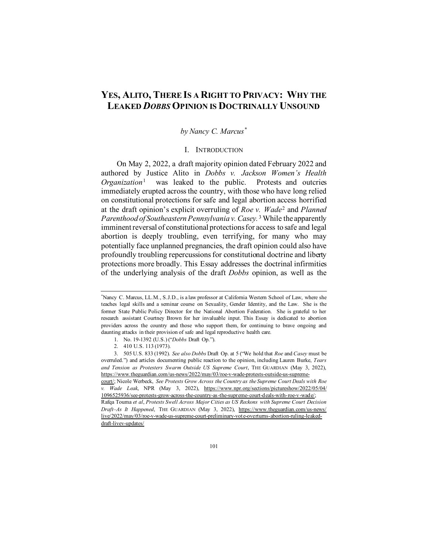# **YES, ALITO, THERE IS A RIGHT TO PRIVACY: WHY THE LEAKED** *DOBBS* **OPINION IS DOCTRINALLY UNSOUND**

# *by Nancy C. Marcus[\\*](#page-0-0)*

### I. INTRODUCTION

On May 2, 2022, a draft majority opinion dated February 2022 and authored by Justice Alito in *Dobbs v. Jackson Women's Health Organization*<sup>[1](#page-0-1)</sup> was leaked to the public. Protests and outcries immediately erupted across the country, with those who have long relied on constitutional protections for safe and legal abortion access horrified at the draft opinion's explicit overruling of *Roe v. Wade*[2](#page-0-2) and *Planned Parenthood of Southeastern Pennsylvania v. Casey.* [3](#page-0-3) While the apparently imminent reversal of constitutional protections for access to safe and legal abortion is deeply troubling, even terrifying, for many who may potentially face unplanned pregnancies, the draft opinion could also have profoundly troubling repercussions for constitutional doctrine and liberty protections more broadly. This Essay addresses the doctrinal infirmities of the underlying analysis of the draft *Dobbs* opinion, as well as the

<span id="page-0-0"></span><sup>\*</sup> Nancy C. Marcus, LL.M., S.J.D., is a law professor at California Western School of Law, where she teaches legal skills and a seminar course on Sexuality, Gender Identity, and the Law. She is the former State Public Policy Director for the National Abortion Federation. She is grateful to her research assistant Courtney Brown for her invaluable input. This Essay is dedicated to abortion providers across the country and those who support them, for continuing to brave ongoing and daunting attacks in their provision of safe and legal reproductive health care.

<sup>1.</sup> No. 19-1392 (U.S.) ("*Dobbs* Draft Op.").

<sup>2.</sup> 410 U.S. 113 (1973).

<span id="page-0-3"></span><span id="page-0-2"></span><span id="page-0-1"></span><sup>3.</sup> 505 U.S. 833 (1992). *See also Dobbs* Draft Op. at 5 ("We hold that *Roe* and *Casey* must be overruled.") and articles documenting public reaction to the opinion, including Lauren Burke, *Tears and Tension as Protesters Swarm Outside US Supreme Court*, THE GUARDIAN (May 3, 2022), [https://www.theguardian.com/us-news/2022/may/03/roe-v-wade-protests-outside-us-supreme](https://www.theguardian.com/us-news/2022/may/03/roe-v-wade-protests-outside-us-supreme-court/)[court/;](https://www.theguardian.com/us-news/2022/may/03/roe-v-wade-protests-outside-us-supreme-court/) Nicole Werbeck, *See Protests Grow Across the Country as the Supreme Court Deals with Roe v. Wade Leak*, NPR (May 3, 2022), [https://www.npr.org/sections/pictureshow/2022/05/04/](https://www.npr.org/sections/pictureshow/2022/05/04/1096525936/see-protests-grow-across-the-country-as-the-supreme-court-deals-with-roe-v-wade/) [1096525936/see-protests-grow-across-the-country-as-the-supreme-court-deals-with-roe-v-wade/;](https://www.npr.org/sections/pictureshow/2022/05/04/1096525936/see-protests-grow-across-the-country-as-the-supreme-court-deals-with-roe-v-wade/) Rafqa Touma *et al*, *Protests Swell Across Major Cities as US Reckons with Supreme Court Decision Draft–As It Happened*, THE GUARDIAN (May 3, 2022), [https://www.theguardian.com/us-news/](https://www.theguardian.com/us-news/live/2022/may/03/roe-v-wade-us-supreme-court-preliminary-vote-overturns-abortion-ruling-leaked-draft-livev-updates/) [live/2022/may/03/roe-v-wade-us-supreme-court-preliminary-vote-overturns-abortion-ruling-leaked-](https://www.theguardian.com/us-news/live/2022/may/03/roe-v-wade-us-supreme-court-preliminary-vote-overturns-abortion-ruling-leaked-draft-livev-updates/)

[draft-livev-updates/](https://www.theguardian.com/us-news/live/2022/may/03/roe-v-wade-us-supreme-court-preliminary-vote-overturns-abortion-ruling-leaked-draft-livev-updates/)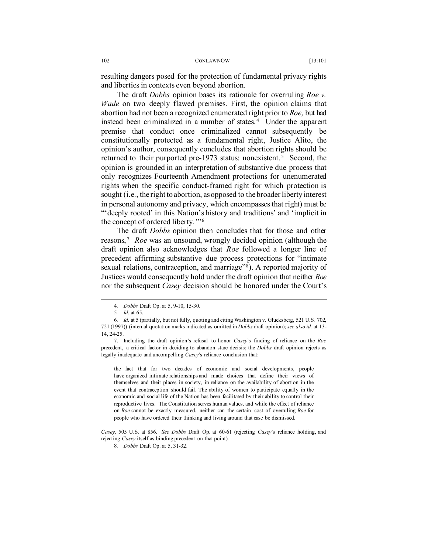resulting dangers posed for the protection of fundamental privacy rights and liberties in contexts even beyond abortion.

The draft *Dobbs* opinion bases its rationale for overruling *Roe v. Wade* on two deeply flawed premises. First, the opinion claims that abortion had not been a recognized enumerated right prior to *Roe*, but had instead been criminalized in a number of states.<sup>[4](#page-1-0)</sup> Under the apparent premise that conduct once criminalized cannot subsequently be constitutionally protected as a fundamental right, Justice Alito, the opinion's author, consequently concludes that abortion rights should be returned to their purported pre-1973 status: nonexistent.<sup>[5](#page-1-1)</sup> Second, the opinion is grounded in an interpretation of substantive due process that only recognizes Fourteenth Amendment protections for unenumerated rights when the specific conduct-framed right for which protection is sought (i.e., the right to abortion, as opposed to the broader liberty interest in personal autonomy and privacy, which encompasses that right) must be "'deeply rooted' in this Nation's history and traditions' and 'implicit in the concept of ordered liberty.'"[6](#page-1-2)

The draft *Dobbs* opinion then concludes that for those and other reasons, [7](#page-1-3) *Roe* was an unsound, wrongly decided opinion (although the draft opinion also acknowledges that *Roe* followed a longer line of precedent affirming substantive due process protections for "intimate sexual relations, contraception, and marriage"<sup>[8](#page-1-4)</sup>). A reported majority of Justices would consequently hold under the draft opinion that neither *Roe* nor the subsequent *Casey* decision should be honored under the Court's

the fact that for two decades of economic and social developments, people have organized intimate relationships and made choices that define their views of themselves and their places in society, in reliance on the availability of abortion in the event that contraception should fail. The ability of women to participate equally in the economic and social life of the Nation has been facilitated by their ability to control their reproductive lives. The Constitution serves human values, and while the effect of reliance on *Roe* cannot be exactly measured, neither can the certain cost of overruling *Roe* for people who have ordered their thinking and living around that case be dismissed.

<span id="page-1-4"></span>*Casey*, 505 U.S. at 856. *See Dobbs* Draft Op. at 60-61 (rejecting *Casey*'s reliance holding, and rejecting *Casey* itself as binding precedent on that point).

<sup>4</sup>*. Dobbs* Draft Op. at 5, 9-10, 15-30.

<sup>5</sup>*. Id*. at 65.

<span id="page-1-2"></span><span id="page-1-1"></span><span id="page-1-0"></span><sup>6</sup>*. Id*. at 5 (partially, but not fully, quoting and citing Washington v. Glucksberg, 521 U.S. 702, 721 (1997)) (internal quotation marks indicated as omitted in *Dobbs* draft opinion); *see also id.* at 13- 14, 24-25.

<span id="page-1-3"></span><sup>7.</sup> Including the draft opinion's refusal to honor *Casey*'s finding of reliance on the *Roe* precedent, a critical factor in deciding to abandon stare decisis; the *Dobbs* draft opinion rejects as legally inadequate and uncompelling *Casey*'s reliance conclusion that:

<sup>8</sup>*. Dobbs* Draft Op. at 5, 31-32.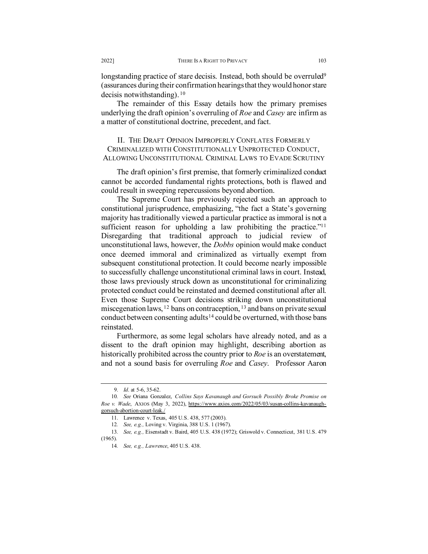longstanding practice of stare decisis. Instead, both should be overruled<sup>9</sup> (assurances during their confirmation hearings that they would honor stare decisis notwithstanding). [10](#page-2-1)

The remainder of this Essay details how the primary premises underlying the draft opinion's overruling of *Roe* and *Casey* are infirm as a matter of constitutional doctrine, precedent, and fact.

## II. THE DRAFT OPINION IMPROPERLY CONFLATES FORMERLY CRIMINALIZED WITH CONSTITUTIONALLY UNPROTECTED CONDUCT, ALLOWING UNCONSTITUTIONAL CRIMINAL LAWS TO EVADE SCRUTINY

The draft opinion's first premise, that formerly criminalized conduct cannot be accorded fundamental rights protections, both is flawed and could result in sweeping repercussions beyond abortion.

The Supreme Court has previously rejected such an approach to constitutional jurisprudence, emphasizing, "the fact a State's governing majority has traditionally viewed a particular practice as immoral is not a sufficient reason for upholding a law prohibiting the practice."<sup>11</sup> Disregarding that traditional approach to judicial review of unconstitutional laws, however, the *Dobbs* opinion would make conduct once deemed immoral and criminalized as virtually exempt from subsequent constitutional protection. It could become nearly impossible to successfully challenge unconstitutional criminal laws in court. Instead, those laws previously struck down as unconstitutional for criminalizing protected conduct could be reinstated and deemed constitutional after all. Even those Supreme Court decisions striking down unconstitutional miscegenation laws, [12](#page-2-3) bans on contraception, [13](#page-2-4) and bans on private sexual conduct between consenting adults<sup>[14](#page-2-5)</sup> could be overturned, with those bans reinstated.

Furthermore, as some legal scholars have already noted, and as a dissent to the draft opinion may highlight, describing abortion as historically prohibited across the country prior to *Roe* is an overstatement, and not a sound basis for overruling *Roe* and *Casey*. Professor Aaron

<sup>9.</sup> *Id*. at 5-6, 35-62.

<span id="page-2-1"></span><span id="page-2-0"></span><sup>10</sup>*. See* Oriana Gonzalez, *Collins Says Kavanaugh and Gorsuch Possibly Broke Promise on Roe v. Wade*, AXIOS (May 3, 2022), [https://www.axios.com/2022/05/03/susan-collins-kavanaugh](https://www.axios.com/2022/05/03/susan-collins-kavanaugh-gorsuch-abortion-court-leak./)[gorsuch-abortion-court-leak./](https://www.axios.com/2022/05/03/susan-collins-kavanaugh-gorsuch-abortion-court-leak./)

<sup>11.</sup> Lawrence v. Texas, 405 U.S. 438, 577 (2003).

<sup>12</sup>*. See, e.g.,* Loving v. Virginia, 388 U.S. 1 (1967).

<span id="page-2-5"></span><span id="page-2-4"></span><span id="page-2-3"></span><span id="page-2-2"></span><sup>13</sup>*. See, e.g.,* Eisenstadt v. Baird, 405 U.S. 438 (1972); Griswold v. Connecticut, 381 U.S. 479 (1965).

<sup>14</sup>*. See, e.g., Lawrence*, 405 U.S. 438.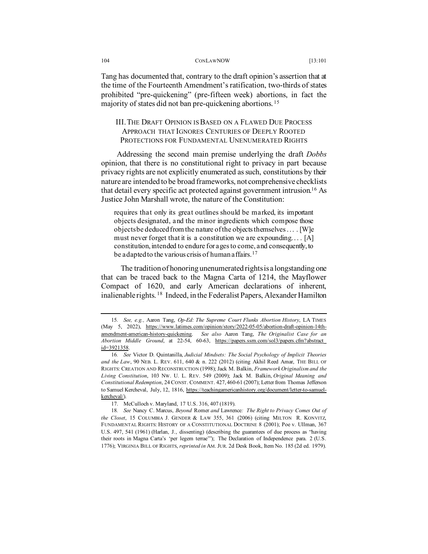Tang has documented that, contrary to the draft opinion's assertion that at the time of the Fourteenth Amendment's ratification, two-thirds of states prohibited "pre-quickening" (pre-fifteen week) abortions, in fact the majority of states did not ban pre-quickening abortions. [15](#page-3-0)

# III. THE DRAFT OPINION IS BASED ON A FLAWED DUE PROCESS APPROACH THAT IGNORES CENTURIES OF DEEPLY ROOTED PROTECTIONS FOR FUNDAMENTAL UNENUMERATED RIGHTS

Addressing the second main premise underlying the draft *Dobbs* opinion, that there is no constitutional right to privacy in part because privacy rights are not explicitly enumerated as such, constitutions by their nature are intended to be broad frameworks, not comprehensive checklists that detail every specific act protected against government intrusion.[16](#page-3-1) As Justice John Marshall wrote, the nature of the Constitution:

requires that only its great outlines should be marked, its important objects designated, and the minor ingredients which compose those objects be deduced from the nature of the objects themselves . . . . [W]e must never forget that it is a constitution we are expounding....  $[A]$ constitution, intended to endure for ages to come, and consequently, to be adapted to the various crisis of human affairs.<sup>[17](#page-3-2)</sup>

 The tradition of honoring unenumerated rights is a longstanding one that can be traced back to the Magna Carta of 1214, the Mayflower Compact of 1620, and early American declarations of inherent, inalienable rights. [18](#page-3-3) Indeed, in the Federalist Papers, Alexander Hamilton

<span id="page-3-0"></span><sup>15</sup>*. See, e.g.,* Aaron Tang, *Op-Ed: The Supreme Court Flunks Abortion History*, LA TIMES (May 5, 2022), [https://www.latimes.com/opinion/story/2022-05-05/abortion-draft-opinion-14th](https://www.latimes.com/opinion/story/2022-05-05/abortion-draft-opinion-14th-amendment-american-history-quickening)[amendment-american-history-quickening.](https://www.latimes.com/opinion/story/2022-05-05/abortion-draft-opinion-14th-amendment-american-history-quickening) *See also* Aaron Tang, *The Originalist Case for an Abortion Middle Ground*, at 22-54, 60-63, [https://papers.ssrn.com/sol3/papers.cfm?abstract\\_](https://papers.ssrn.com/sol3/papers.cfm?abstract_id=3921358) [id=3921358.](https://papers.ssrn.com/sol3/papers.cfm?abstract_id=3921358)

<span id="page-3-1"></span><sup>16</sup>*. See* Victor D. Quintanilla, *Judicial Mindsets: The Social Psychology of Implicit Theories and the Law*, 90 NEB. L. REV. 611, 640 & n. 222 (2012) (citing Akhil Reed Amar, THE BILL OF RIGHTS: CREATION AND RECONSTRUCTION (1998); Jack M. Balkin, *[Framework Originalism and the](https://1.next.westlaw.com/Link/Document/FullText?findType=Y&serNum=0345564889&pubNum=1214&originatingDoc=I8af35c8d8ea811e18b05fdf15589d8e8&refType=LR&originationContext=document&transitionType=DocumentItem&ppcid=05b11683c1ba4d7393c2384acf46f4d1&contextData=(sc.Search))  [Living Constitution](https://1.next.westlaw.com/Link/Document/FullText?findType=Y&serNum=0345564889&pubNum=1214&originatingDoc=I8af35c8d8ea811e18b05fdf15589d8e8&refType=LR&originationContext=document&transitionType=DocumentItem&ppcid=05b11683c1ba4d7393c2384acf46f4d1&contextData=(sc.Search))*, 103 NW. U. L. REV. 549 (2009); Jack M. Balkin, *[Original Meaning and](https://1.next.westlaw.com/Link/Document/FullText?findType=Y&serNum=0338438220&pubNum=100699&originatingDoc=I8af35c8d8ea811e18b05fdf15589d8e8&refType=LR&fi=co_pp_sp_100699_460&originationContext=document&transitionType=DocumentItem&ppcid=05b11683c1ba4d7393c2384acf46f4d1&contextData=(sc.Search)#co_pp_sp_100699_460)  Constitutional Redemption*, 24 CONST. [COMMENT. 427, 460-61 \(2007\);](https://1.next.westlaw.com/Link/Document/FullText?findType=Y&serNum=0338438220&pubNum=100699&originatingDoc=I8af35c8d8ea811e18b05fdf15589d8e8&refType=LR&fi=co_pp_sp_100699_460&originationContext=document&transitionType=DocumentItem&ppcid=05b11683c1ba4d7393c2384acf46f4d1&contextData=(sc.Search)#co_pp_sp_100699_460) Letter from Thomas Jefferson to Samuel Kercheval, July, 12, 1816[, https://teachingamericanhistory.org/document/letter-to-samuel](https://teachingamericanhistory.org/document/letter-to-samuel-kercheval/)[kercheval/\).](https://teachingamericanhistory.org/document/letter-to-samuel-kercheval/)

<sup>17.</sup> McCulloch v. [Maryland, 17 U.S. 316, 407 \(1819\).](https://1.next.westlaw.com/Link/Document/FullText?findType=Y&serNum=1800123335&pubNum=780&originatingDoc=I8af35c8d8ea811e18b05fdf15589d8e8&refType=RP&fi=co_pp_sp_780_407&originationContext=document&transitionType=DocumentItem&ppcid=05b11683c1ba4d7393c2384acf46f4d1&contextData=(sc.Search)#co_pp_sp_780_407)

<span id="page-3-3"></span><span id="page-3-2"></span><sup>18</sup>*. See* Nancy C. Marcus, *Beyond* Romer *and* Lawrence*: The Right to Privacy Comes Out of the Closet*, 15 COLUMBIA J. GENDER & LAW 355, 361 (2006) (citing MILTON R. KONVITZ, FUNDAMENTAL RIGHTS: HISTORY OF A CONSTITUTIONAL DOCTRINE 8 (2001); [Poe v. Ullman, 367](https://1.next.westlaw.com/Link/Document/FullText?findType=Y&serNum=1961103584&pubNum=780&originatingDoc=I1c1c6c3136ef11db8382aef8d8e33c97&refType=RP&fi=co_pp_sp_780_541&originationContext=document&transitionType=DocumentItem&ppcid=a035f14d62164ab2a6b09fedd602350e&contextData=(sc.Search)#co_pp_sp_780_541)  [U.S. 497, 541 \(1961\)](https://1.next.westlaw.com/Link/Document/FullText?findType=Y&serNum=1961103584&pubNum=780&originatingDoc=I1c1c6c3136ef11db8382aef8d8e33c97&refType=RP&fi=co_pp_sp_780_541&originationContext=document&transitionType=DocumentItem&ppcid=a035f14d62164ab2a6b09fedd602350e&contextData=(sc.Search)#co_pp_sp_780_541) (Harlan, J., dissenting) (describing the guarantees of due process as "having their roots in Magna Carta's 'per legem terrae'"); The Declaration of Independence para. 2 (U.S. 1776); VIRGINIA BILL OF RIGHTS, *reprinted in* AM. JUR. 2d Desk Book, Item No. 185 (2d ed. 1979).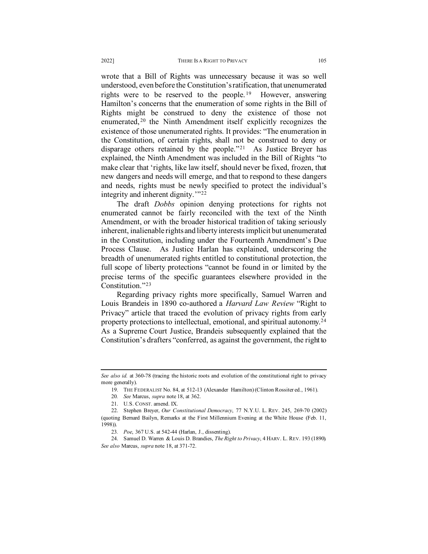wrote that a Bill of Rights was unnecessary because it was so well understood, even before the Constitution's ratification, that unenumerated rights were to be reserved to the people.<sup>[19](#page-4-0)</sup> However, answering Hamilton's concerns that the enumeration of some rights in the Bill of Rights might be construed to deny the existence of those not enumerated, <sup>[20](#page-4-1)</sup> the Ninth Amendment itself explicitly recognizes the existence of those unenumerated rights. It provides: "The enumeration in the Constitution, of certain rights, shall not be construed to deny or disparage others retained by the people."[21](#page-4-2) As Justice Breyer has explained, the Ninth Amendment was included in the Bill of Rights "to make clear that 'rights, like law itself, should never be fixed, frozen, that new dangers and needs will emerge, and that to respond to these dangers and needs, rights must be newly specified to protect the individual's integrity and inherent dignity.'"[22](#page-4-3)

The draft *Dobbs* opinion denying protections for rights not enumerated cannot be fairly reconciled with the text of the Ninth Amendment, or with the broader historical tradition of taking seriously inherent, inalienable rights and liberty interests implicit but unenumerated in the Constitution, including under the Fourteenth Amendment's Due Process Clause. As Justice Harlan has explained, underscoring the breadth of unenumerated rights entitled to constitutional protection, the full scope of liberty protections "cannot be found in or limited by the precise terms of the specific guarantees elsewhere provided in the Constitution."[23](#page-4-4)

Regarding privacy rights more specifically, Samuel Warren and Louis Brandeis in 1890 co-authored a *Harvard Law Review* "Right to Privacy" article that traced the evolution of privacy rights from early property protections to intellectual, emotional, and spiritual autonomy.[24](#page-4-5) As a Supreme Court Justice, Brandeis subsequently explained that the Constitution's drafters "conferred, as against the government, the right to

<span id="page-4-5"></span><span id="page-4-4"></span>24. Samuel D. Warren & Louis D. Brandies, *The Right to Privacy*, 4 HARV. L. REV. 193 (1890). *See also* Marcus, *supra* note 18, at 371-72.

<span id="page-4-0"></span>See also id. at 360-78 (tracing the historic roots and evolution of the constitutional right to privacy more generally).

<sup>19.</sup> THE FEDERALIST No. 84, at 512-13 (Alexander Hamilton) (Clinton Rossiter ed., 1961).

<sup>20</sup>*. See* Marcus, *supra* note 18, at 362.

<sup>21.</sup> U.S. CONST. amend. IX.

<span id="page-4-3"></span><span id="page-4-2"></span><span id="page-4-1"></span><sup>22.</sup> Stephen Breyer, *Our Constitutional Democracy*, 77 N.Y.U. L. REV. 245, 269-70 (2002) (quoting Bernard Bailyn, Remarks at the First Millennium Evening at the White House (Feb. 11, 1998)).

<sup>23</sup>*. Poe*, 367 U.S. at 542-44 (Harlan, J., dissenting).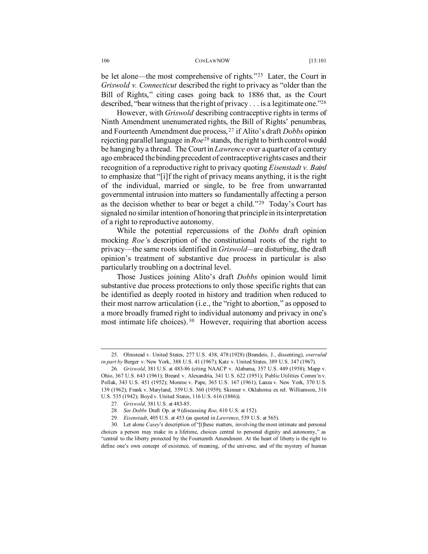be let alone—the most comprehensive of rights."<sup>25</sup> Later, the Court in *Griswold v. Connecticut* described the right to privacy as "older than the Bill of Rights," citing cases going back to 1886 that, as the Court described, "bear witness that the right of privacy . . . is a legitimate one.["26](#page-5-1)

However, with *Griswold* describing contraceptive rights in terms of Ninth Amendment unenumerated rights, the Bill of Rights' penumbras, and Fourteenth Amendment due process, [27](#page-5-2) if Alito's draft *Dobbs* opinion rejecting parallel language in *Roe*[28](#page-5-3) stands, the right to birth control would be hanging by a thread. The Court in *Lawrence* over a quarter of a century ago embraced the binding precedent of contraceptive rights cases and their recognition of a reproductive right to privacy quoting *Eisenstadt v. Baird* to emphasize that "[i]f the right of privacy means anything, it is the right of the individual, married or single, to be free from unwarranted governmental intrusion into matters so fundamentally affecting a person as the decision whether to bear or beget a child."[29](#page-5-4) Today's Court has signaled no similar intention of honoring that principle in its interpretation of a right to reproductive autonomy.

While the potential repercussions of the *Dobbs* draft opinion mocking *Roe'*s description of the constitutional roots of the right to privacy—the same roots identified in *Griswold—*are disturbing, the draft opinion's treatment of substantive due process in particular is also particularly troubling on a doctrinal level.

Those Justices joining Alito's draft *Dobbs* opinion would limit substantive due process protections to only those specific rights that can be identified as deeply rooted in history and tradition when reduced to their most narrow articulation (i.e., the "right to abortion," as opposed to a more broadly framed right to individual autonomy and privacy in one's most intimate life choices).<sup>[30](#page-5-5)</sup> However, requiring that abortion access

<span id="page-5-0"></span><sup>25.</sup> [Olmstead v. United States, 277 U.S. 438, 478](https://1.next.westlaw.com/Link/Document/FullText?findType=Y&serNum=1928126400&pubNum=780&originatingDoc=I1c1c6c3136ef11db8382aef8d8e33c97&refType=RP&fi=co_pp_sp_780_478&originationContext=document&transitionType=DocumentItem&ppcid=298504e71f8f4b22a017003bc6c21c5f&contextData=(sc.DocLink)#co_pp_sp_780_478) (1928) (Brandeis, J., dissenting), *overruled in part by* Berger v. New York, 388 U.S. 41 (1967); Katz v. United States, 389 U.S. 347 (1967).

<span id="page-5-1"></span><sup>26</sup>*. Griswold*, 381 U.S. at 483-86 (citing NAACP v. Alabama, 357 U.S. 449 (1958); Mapp v. Ohio, 367 U.S. 643 (1961); Breard v. Alexandria, 341 U.S. 622 (1951); Public Utilities Comm'n v. Pollak, 343 U.S. 451 (1952); Monroe v. Pape, 365 U.S. 167 (1961); Lanza v. New York, 370 U.S. 139 (1962); Frank v. Maryland, 359 U.S. 360 (1959); Skinner v. Oklahoma ex rel. Williamson, 316 U.S. 535 (1942); Boyd v. United States, 116 U.S. 616 (1886)).

<sup>27.</sup> *Griswold*, 381 U.S. at 483-85.

<sup>28</sup>*. See Dobbs* Draft Op. at 9 (discussing *Roe*, 410 U.S. at 152).

<sup>29</sup>*. Eisenstadt*, 405 U.S. at 453 (as quoted in *Lawrence*, 539 U.S. at 565).

<span id="page-5-5"></span><span id="page-5-4"></span><span id="page-5-3"></span><span id="page-5-2"></span><sup>30.</sup> Let alone *Casey*'s description of "[t]hese matters, involving the most intimate and personal choices a person may make in a lifetime, choices central to personal dignity and autonomy," as "central to the liberty protected by the Fourteenth Amendment. At the heart of liberty is the right to define one's own concept of existence, of meaning, of the universe, and of the mystery of human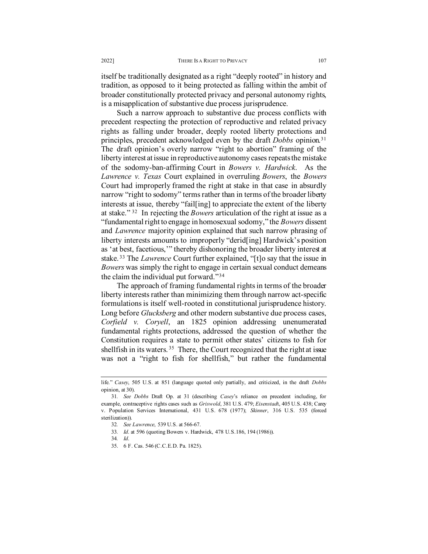itself be traditionally designated as a right "deeply rooted" in history and tradition, as opposed to it being protected as falling within the ambit of broader constitutionally protected privacy and personal autonomy rights, is a misapplication of substantive due process jurisprudence.

Such a narrow approach to substantive due process conflicts with precedent respecting the protection of reproductive and related privacy rights as falling under broader, deeply rooted liberty protections and principles, precedent acknowledged even by the draft *Dobbs* opinion.[31](#page-6-0) The draft opinion's overly narrow "right to abortion" framing of the liberty interest at issue in reproductive autonomy cases repeats the mistake of the sodomy-ban-affirming Court in *Bowers v. Hardwick*. As the *Lawrence v. Texas* Court explained in overruling *Bowers*, the *Bowers*  Court had improperly framed the right at stake in that case in absurdly narrow "right to sodomy" terms rather than in terms of the broader liberty interests at issue, thereby "fail[ing] to appreciate the extent of the liberty at stake." [32](#page-6-1) In rejecting the *Bowers* articulation of the right at issue as a "fundamental right to engage in homosexual sodomy," the *Bowers* dissent and *Lawrence* majority opinion explained that such narrow phrasing of liberty interests amounts to improperly "derid[ing] Hardwick's position as 'at best, facetious,'" thereby dishonoring the broader liberty interest at stake. [33](#page-6-2) The *Lawrence* Court further explained, "[t]o say that the issue in *Bowers* was simply the right to engage in certain sexual conduct demeans the claim the individual put forward."[34](#page-6-3) 

The approach of framing fundamental rights in terms of the broader liberty interests rather than minimizing them through narrow act-specific formulations is itself well-rooted in constitutional jurisprudence history. Long before *Glucksberg* and other modern substantive due process cases, *Corfield v. Coryell*, an 1825 opinion addressing unenumerated fundamental rights protections, addressed the question of whether the Constitution requires a state to permit other states' citizens to fish for shellfish in its waters.<sup>35</sup> There, the Court recognized that the right at issue was not a "right to fish for shellfish," but rather the fundamental

<span id="page-6-4"></span>35. 6 F. Cas. 546 (C.C.E.D. Pa. 1825).

life." *Casey*, 505 U.S. at 851 (language quoted only partially, and criticized, in the draft *Dobbs* opinion, at 30).

<span id="page-6-3"></span><span id="page-6-2"></span><span id="page-6-1"></span><span id="page-6-0"></span><sup>31</sup>*. See Dobbs* Draft Op. at 31 (describing *Casey*'s reliance on precedent including, for example, contraceptive rights cases such as *Griswold*, 381 U.S. 479; *Eisenstad*t, 405 U.S. 438; Carey v. Population Services International, 431 U.S. 678 (1977); *Skinner*, 316 U.S. 535 (forced sterilization)).

<sup>32</sup>*. See Lawrence*, 539 U.S. at 566-67.

<sup>33</sup>*. Id*. at 596 (quoting Bowers v. Hardwick, 478 U.S.186, 194 (1986)).

<sup>34</sup>*. Id*.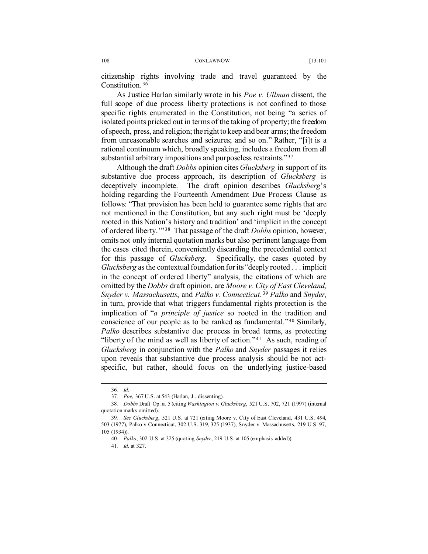citizenship rights involving trade and travel guaranteed by the Constitution. [36](#page-7-0)

As Justice Harlan similarly wrote in his *Poe v. Ullman* dissent, the full scope of due process liberty protections is not confined to those specific rights enumerated in the Constitution, not being "a series of isolated points pricked out in terms of the taking of property; the freedom of speech, press, and religion; the right to keep and bear arms; the freedom from unreasonable searches and seizures; and so on." Rather, "[i]t is a rational continuum which, broadly speaking, includes a freedom from all substantial arbitrary impositions and purposeless restraints."[37](#page-7-1)

Although the draft *Dobbs* opinion cites *Glucksberg* in support of its substantive due process approach, its description of *Glucksberg* is deceptively incomplete. The draft opinion describes *Glucksberg*'s holding regarding the Fourteenth Amendment Due Process Clause as follows: "That provision has been held to guarantee some rights that are not mentioned in the Constitution, but any such right must be 'deeply rooted in this Nation's history and tradition' and 'implicit in the concept of ordered liberty.'"[38](#page-7-2) That passage of the draft *Dobbs* opinion, however, omits not only internal quotation marks but also pertinent language from the cases cited therein, conveniently discarding the precedential context for this passage of *Glucksberg*. Specifically, the cases quoted by *Glucksberg* as the contextual foundation for its "deeply rooted . . . implicit in the concept of ordered liberty" analysis, the citations of which are omitted by the *Dobbs* draft opinion, are *Moore v. City of East Cleveland*, *Snyder v. Massachusetts*, and *Palko v. Connecticut*. [39](#page-7-3) *Palko* and *Snyder*, in turn, provide that what triggers fundamental rights protection is the implication of "*a principle of justice* so rooted in the tradition and conscience of our people as to be ranked as fundamental."[40](#page-7-4) Similarly, *Palko* describes substantive due process in broad terms, as protecting "liberty of the mind as well as liberty of action."<sup>[41](#page-7-5)</sup> As such, reading of *Glucksberg* in conjunction with the *Palko* and *Snyder* passages it relies upon reveals that substantive due process analysis should be not actspecific, but rather, should focus on the underlying justice-based

<sup>36</sup>*. Id*.

<sup>37</sup>*. Poe*, 367 U.S. at 543 (Harlan, J., dissenting).

<span id="page-7-2"></span><span id="page-7-1"></span><span id="page-7-0"></span><sup>38</sup>*. Dobbs* Draft Op. at 5 (citing *Washington v. Glucksberg*, 521 U.S. 702, 721 (1997) (internal quotation marks omitted).

<span id="page-7-5"></span><span id="page-7-4"></span><span id="page-7-3"></span><sup>39</sup>*. See Glucksberg*, 521 U.S. at 721 (citing Moore v. City of East Cleveland, 431 U.S. 494, 503 (1977), Palko v Connecticut, 302 U.S. 319, 325 (1937), Snyder v. Massachusetts, 219 U.S. 97, 105 (1934)).

<sup>40</sup>*. Palko*, 302 U.S. at 325 (quoting *Snyder*, 219 U.S. at 105 (emphasis added)).

<sup>41</sup>*. Id*. at 327.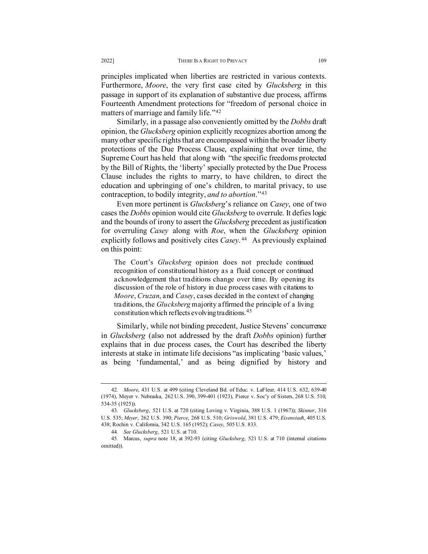principles implicated when liberties are restricted in various contexts. Furthermore, *Moore*, the very first case cited by *Glucksberg* in this passage in support of its explanation of substantive due process, affirms Fourteenth Amendment protections for "freedom of personal choice in matters of marriage and family life."[42](#page-8-0)

Similarly, in a passage also conveniently omitted by the *Dobbs* draft opinion, the *Glucksberg* opinion explicitly recognizes abortion among the many other specific rights that are encompassed within the broader liberty protections of the Due Process Clause, explaining that over time, the Supreme Court has held that along with "the specific freedoms protected by the Bill of Rights, the 'liberty' specially protected by the Due Process Clause includes the rights to marry, to have children, to direct the education and upbringing of one's children, to marital privacy, to use contraception, to bodily integrity, *and to abortion*."[43](#page-8-1)

Even more pertinent is *Glucksberg*'s reliance on *Casey*, one of two cases the *Dobbs* opinion would cite *Glucksberg* to overrule. It defies logic and the bounds of irony to assert the *Glucksberg* precedent as justification for overruling *Casey* along with *Roe*, when the *Glucksberg* opinion explicitly follows and positively cites *Casey*.<sup>44</sup> As previously explained on this point:

The Court's *Glucksberg* opinion does not preclude continued recognition of constitutional history as a fluid concept or continued acknowledgement that traditions change over time. By opening its discussion of the role of history in due process cases with citations to *Moore*, *Cruzan*, and *Casey*, cases decided in the context of changing traditions, the *Glucksberg* majority affirmed the principle of a living constitution which reflects evolving traditions.[45](#page-8-3)

Similarly, while not binding precedent, Justice Stevens' concurrence in *Glucksberg* (also not addressed by the draft *Dobbs* opinion) further explains that in due process cases, the Court has described the liberty interests at stake in intimate life decisions "as implicating 'basic values,' as being 'fundamental,' and as being dignified by history and

<span id="page-8-0"></span><sup>42</sup>*. Moore*, 431 U.S. at 499 (citing Cleveland Bd. of Educ. v. LaFleur, 414 U.S. 632, 639-40 (1974), Meyer v. Nebraska, 262 U.S. 390, 399-401 (1923), Pierce v. Soc'y of Sisters, 268 U.S. 510, 534-35 (1925)).

<span id="page-8-1"></span><sup>43</sup>*. Glucksberg*, 521 U.S. at 720 (citing Loving v. Virginia, 388 U.S. 1 (1967)); *Skinner*, 316 U.S. 535; *Meyer*, 262 U.S. 390; *Pierce*, 268 U.S. 510; *Griswold*, 381 U.S. 479; *Eisenstad*t, 405 U.S. 438; Rochin v. California, 342 U.S. 165 (1952); *Casey*, 505 U.S. 833.

<sup>44</sup>*. See Glucksberg*, 521 U.S. at 710.

<span id="page-8-3"></span><span id="page-8-2"></span><sup>45.</sup> Marcus, *supra* note 18, at 392-93 (citing *Glucksberg*, 521 U.S. at 710 (internal citations omitted)).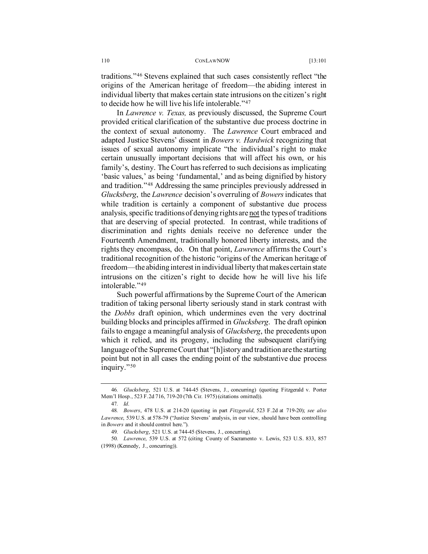traditions."[46](#page-9-0) Stevens explained that such cases consistently reflect "the origins of the American heritage of freedom—the abiding interest in individual liberty that makes certain state intrusions on the citizen's right to decide how he will live his life intolerable."[47](#page-9-1)

In *Lawrence v. Texas,* as previously discussed, the Supreme Court provided critical clarification of the substantive due process doctrine in the context of sexual autonomy. The *Lawrence* Court embraced and adapted Justice Stevens' dissent in *Bowers v. Hardwick* recognizing that issues of sexual autonomy implicate "the individual's right to make certain unusually important decisions that will affect his own, or his family's, destiny. The Court has referred to such decisions as implicating 'basic values,' as being 'fundamental,' and as being dignified by history and tradition."[48](#page-9-2) Addressing the same principles previously addressed in *Glucksberg*, the *Lawrence* decision's overruling of *Bowers*indicates that while tradition is certainly a component of substantive due process analysis, specific traditions of denying rights are not the types of traditions that are deserving of special protected. In contrast, while traditions of discrimination and rights denials receive no deference under the Fourteenth Amendment, traditionally honored liberty interests, and the rights they encompass, do. On that point, *Lawrence* affirms the Court's traditional recognition of the historic "origins of the American heritage of freedom—the abiding interest in individual liberty that makes certain state intrusions on the citizen's right to decide how he will live his life intolerable."[49](#page-9-3)

Such powerful affirmations by the Supreme Court of the American tradition of taking personal liberty seriously stand in stark contrast with the *Dobbs* draft opinion, which undermines even the very doctrinal building blocks and principles affirmed in *Glucksberg*. The draft opinion fails to engage a meaningful analysis of *Glucksberg*, the precedents upon which it relied, and its progeny, including the subsequent clarifying language of the Supreme Court that "[h]istory and tradition are the starting point but not in all cases the ending point of the substantive due process inquiry."[50](#page-9-4)

<span id="page-9-0"></span><sup>46</sup>*. Glucksberg*, 521 U.S. at 744-45 (Stevens, J., concurring) (quoting Fitzgerald v. Porter Mem'l Hosp., 523 F.2d 716, 719-20 (7th Cir. 1975) (citations omitted)).

<sup>47</sup>*. Id*.

<span id="page-9-2"></span><span id="page-9-1"></span><sup>48</sup>*. Bowers*, 478 U.S. at 214-20 (quoting in part *Fitzgerald*, 523 F.2d at 719-20); *see also Lawrence*, 539 U.S. at 578-79 ("Justice Stevens' analysis, in our view, should have been controlling in *Bowers* and it should control here.").

<sup>49</sup>*. Glucksberg*, 521 U.S. at 744-45 (Stevens, J., concurring).

<span id="page-9-4"></span><span id="page-9-3"></span><sup>50</sup>*. Lawrence*, 539 U.S. at 572 (citing County of Sacramento v. Lewis, 523 U.S. 833, 857 (1998) (Kennedy, J., concurring)).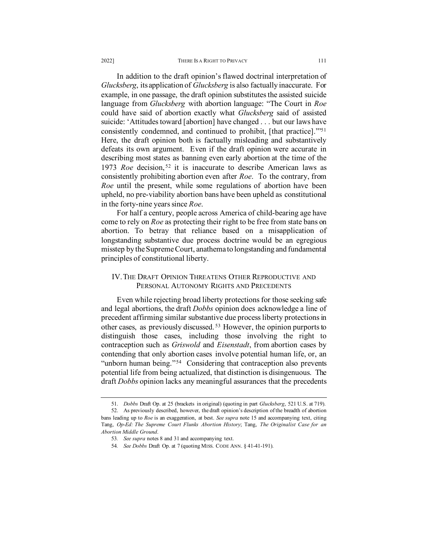In addition to the draft opinion's flawed doctrinal interpretation of *Glucksberg*, its application of *Glucksberg* is also factually inaccurate. For example, in one passage, the draft opinion substitutes the assisted suicide language from *Glucksberg* with abortion language: "The Court in *Roe* could have said of abortion exactly what *Glucksberg* said of assisted suicide: 'Attitudes toward [abortion] have changed . . . but our laws have consistently condemned, and continued to prohibit, [that practice].'["51](#page-10-0) Here, the draft opinion both is factually misleading and substantively defeats its own argument. Even if the draft opinion were accurate in describing most states as banning even early abortion at the time of the 1973 *Roe* decision, [52](#page-10-1) it is inaccurate to describe American laws as consistently prohibiting abortion even after *Roe*. To the contrary, from *Roe* until the present, while some regulations of abortion have been upheld, no pre-viability abortion bans have been upheld as constitutional in the forty-nine years since *Roe*.

For half a century, people across America of child-bearing age have come to rely on *Roe* as protecting their right to be free from state bans on abortion. To betray that reliance based on a misapplication of longstanding substantive due process doctrine would be an egregious misstep by the Supreme Court, anathema to longstanding and fundamental principles of constitutional liberty.

## IV. THE DRAFT OPINION THREATENS OTHER REPRODUCTIVE AND PERSONAL AUTONOMY RIGHTS AND PRECEDENTS

Even while rejecting broad liberty protections for those seeking safe and legal abortions, the draft *Dobbs* opinion does acknowledge a line of precedent affirming similar substantive due process liberty protections in other cases, as previously discussed. [53](#page-10-2) However, the opinion purports to distinguish those cases, including those involving the right to contraception such as *Griswold* and *Eisenstadt*, from abortion cases by contending that only abortion cases involve potential human life, or, an "unborn human being."<sup>[54](#page-10-3)</sup> Considering that contraception also prevents potential life from being actualized, that distinction is disingenuous. The draft *Dobbs* opinion lacks any meaningful assurances that the precedents

<sup>51.</sup> *Dobbs* Draft Op. at 25 (brackets in original) (quoting in part *Glucksberg*, 521 U.S. at 719).

<span id="page-10-3"></span><span id="page-10-2"></span><span id="page-10-1"></span><span id="page-10-0"></span><sup>52.</sup> As previously described, however, the draft opinion's description of the breadth of abortion bans leading up to *Roe* is an exaggeration, at best. *See supra* note 15 and accompanying text, citing Tang, *Op-Ed: The Supreme Court Flunks Abortion History*; Tang, *The Originalist Case for an Abortion Middle Ground*.

<sup>53</sup>*. See supra* notes 8 and 31 and accompanying text.

<sup>54</sup>*. See Dobbs* Draft Op. at 7 (quoting MISS. CODE ANN. § 41-41-191).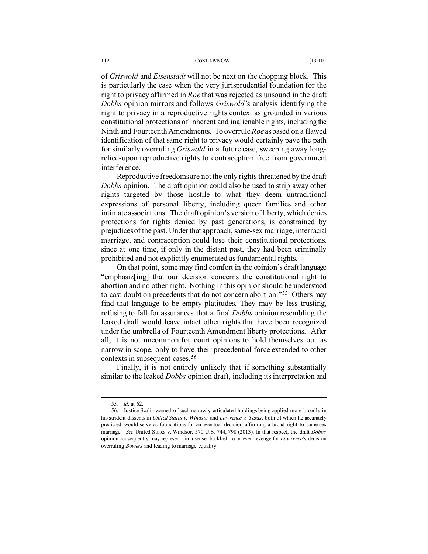of *Griswold* and *Eisenstadt* will not be next on the chopping block. This is particularly the case when the very jurisprudential foundation for the right to privacy affirmed in *Roe* that was rejected as unsound in the draft *Dobbs* opinion mirrors and follows *Griswold'*s analysis identifying the right to privacy in a reproductive rights context as grounded in various constitutional protections of inherent and inalienable rights, including the Ninth and Fourteenth Amendments. To overrule *Roe* as based on a flawed identification of that same right to privacy would certainly pave the path for similarly overruling *Griswold* in a future case, sweeping away longrelied-upon reproductive rights to contraception free from government interference.

Reproductive freedoms are not the only rights threatened by the draft *Dobbs* opinion. The draft opinion could also be used to strip away other rights targeted by those hostile to what they deem untraditional expressions of personal liberty, including queer families and other intimate associations. The draft opinion's version of liberty, which denies protections for rights denied by past generations, is constrained by prejudices of the past. Under that approach, same-sex marriage, interracial marriage, and contraception could lose their constitutional protections, since at one time, if only in the distant past, they had been criminally prohibited and not explicitly enumerated as fundamental rights.

On that point, some may find comfort in the opinion's draft language "emphasiz[ing] that our decision concerns the constitutional right to abortion and no other right. Nothing in this opinion should be understood to cast doubt on precedents that do not concern abortion."[55](#page-11-0) Others may find that language to be empty platitudes. They may be less trusting, refusing to fall for assurances that a final *Dobbs* opinion resembling the leaked draft would leave intact other rights that have been recognized under the umbrella of Fourteenth Amendment liberty protections. After all, it is not uncommon for court opinions to hold themselves out as narrow in scope, only to have their precedential force extended to other contexts in subsequent cases. [56](#page-11-1)

Finally, it is not entirely unlikely that if something substantially similar to the leaked *Dobbs* opinion draft, including its interpretation and

<sup>55</sup>*. Id*. at 62.

<span id="page-11-1"></span><span id="page-11-0"></span><sup>56.</sup> Justice Scalia warned of such narrowly articulated holdings being applied more broadly in his strident dissents in *United States v. Windsor* and *Lawrence v. Texas*, both of which he accurately predicted would serve as foundations for an eventual decision affirming a broad right to same-sex marriage. *See* United States v. Windsor, 570 U.S. 744, 798 (2013). In that respect, the draft *Dobbs* opinion consequently may represent, in a sense, backlash to or even revenge for *Lawrence*'s decision overruling *Bowers* and leading to marriage equality.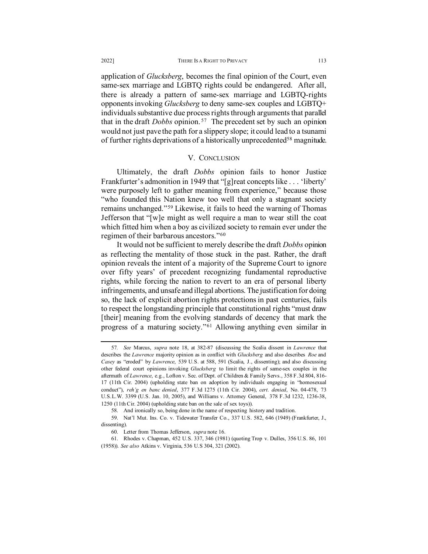### 2022] **THERE IS A RIGHT TO PRIVACY** 113

application of *Glucksberg*, becomes the final opinion of the Court, even same-sex marriage and LGBTQ rights could be endangered. After all, there is already a pattern of same-sex marriage and LGBTQ-rights opponents invoking *Glucksberg* to deny same-sex couples and LGBTQ+ individuals substantive due process rights through arguments that parallel that in the draft *Dobbs* opinion. [57](#page-12-0) The precedent set by such an opinion would not just pave the path for a slippery slope; it could lead to a tsunami of further rights deprivations of a historically unprecedented<sup>58</sup> magnitude.

### V. CONCLUSION

Ultimately, the draft *Dobbs* opinion fails to honor Justice Frankfurter's admonition in 1949 that "[g]reat concepts like . . . 'liberty' were purposely left to gather meaning from experience," because those "who founded this Nation knew too well that only a stagnant society remains unchanged."[59](#page-12-2) Likewise, it fails to heed the warning of Thomas Jefferson that "[w]e might as well require a man to wear still the coat which fitted him when a boy as civilized society to remain ever under the regimen of their barbarous ancestors."[60](#page-12-3)

It would not be sufficient to merely describe the draft *Dobbs* opinion as reflecting the mentality of those stuck in the past. Rather, the draft opinion reveals the intent of a majority of the Supreme Court to ignore over fifty years' of precedent recognizing fundamental reproductive rights, while forcing the nation to revert to an era of personal liberty infringements, and unsafe and illegal abortions. The justification for doing so, the lack of explicit abortion rights protections in past centuries, fails to respect the longstanding principle that constitutional rights "must draw [their] meaning from the evolving standards of decency that mark the progress of a maturing society."[61](#page-12-4) Allowing anything even similar in

<span id="page-12-0"></span><sup>57</sup>*. See* Marcus, *supra* note 18, at 382-87 (discussing the Scalia dissent in *Lawrence* that describes the *Lawrence* majority opinion as in conflict with *Glucksberg* and also describes *Roe* and *Casey* as "eroded" by *Lawrence*, 539 U.S. at 588, 591 (Scalia, J., dissenting); and also discussing other federal court opinions invoking *Glucksberg* to limit the rights of same-sex couples in the aftermath of *Lawrence*, e.g., Lofton v. Sec. of Dept. of Children & Family Servs., 358 F.3d 804, 816- 17 (11th Cir. 2004) (upholding state ban on adoption by individuals engaging in "homosexual conduct"), *reh'g en banc denied*, 377 F.3d 1275 (11th Cir. 2004), *cert. denied*, No. 04-478, 73 U.S.L.W. 3399 (U.S. Jan. 10, 2005), and Williams v. Attorney General, 378 F.3d 1232, 1236-38, 1250 (11th Cir. 2004) (upholding state ban on the sale of sex toys)).

<sup>58.</sup> And ironically so, being done in the name of respecting history and tradition.

<span id="page-12-2"></span><span id="page-12-1"></span><sup>59.</sup> Nat'l Mut. Ins. Co. v. Tidewater Transfer Co., 337 U.S. 582, 646 (1949) (Frankfurter, J., dissenting).

<sup>60.</sup> Letter from Thomas Jefferson, *supra* note 16.

<span id="page-12-4"></span><span id="page-12-3"></span><sup>61.</sup> Rhodes v. Chapman, 452 U.S. 337, 346 (1981) (quoting Trop v. Dulles, 356 U.S. 86, 101 (1958)). *See also* Atkins v. Virginia, 536 U.S 304, 321 (2002).